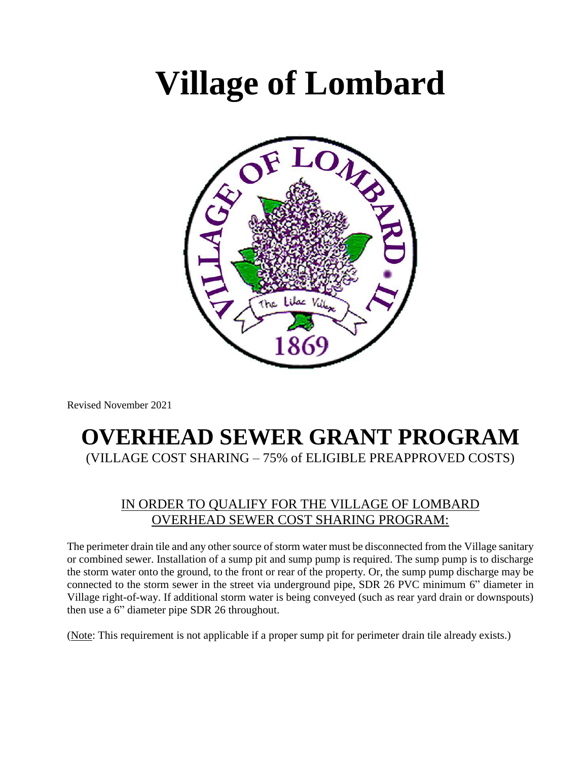# **Village of Lombard**



Revised November 2021

## **OVERHEAD SEWER GRANT PROGRAM** (VILLAGE COST SHARING – 75% of ELIGIBLE PREAPPROVED COSTS)

#### IN ORDER TO QUALIFY FOR THE VILLAGE OF LOMBARD OVERHEAD SEWER COST SHARING PROGRAM:

The perimeter drain tile and any other source of storm water must be disconnected from the Village sanitary or combined sewer. Installation of a sump pit and sump pump is required. The sump pump is to discharge the storm water onto the ground, to the front or rear of the property. Or, the sump pump discharge may be connected to the storm sewer in the street via underground pipe, SDR 26 PVC minimum 6" diameter in Village right-of-way. If additional storm water is being conveyed (such as rear yard drain or downspouts) then use a 6" diameter pipe SDR 26 throughout.

(Note: This requirement is not applicable if a proper sump pit for perimeter drain tile already exists.)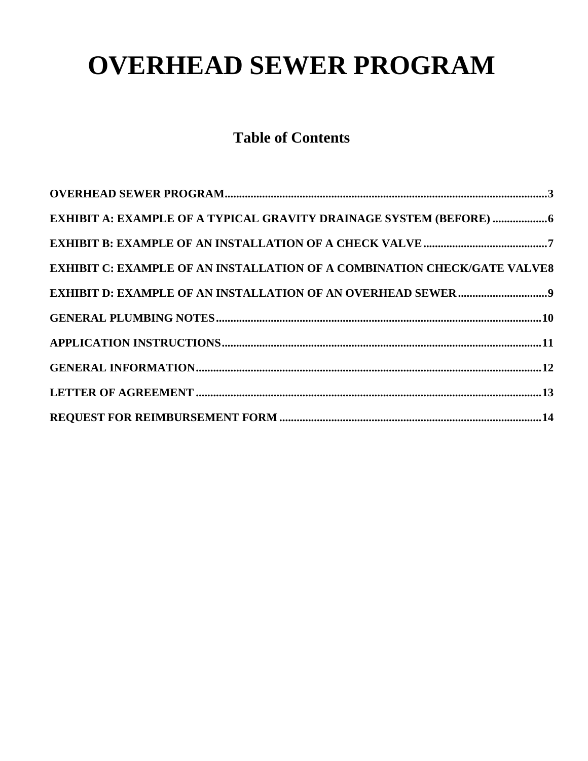## **OVERHEAD SEWER PROGRAM**

## **Table of Contents**

| EXHIBIT A: EXAMPLE OF A TYPICAL GRAVITY DRAINAGE SYSTEM (BEFORE) 6              |
|---------------------------------------------------------------------------------|
|                                                                                 |
| <b>EXHIBIT C: EXAMPLE OF AN INSTALLATION OF A COMBINATION CHECK/GATE VALVE8</b> |
|                                                                                 |
|                                                                                 |
|                                                                                 |
|                                                                                 |
|                                                                                 |
|                                                                                 |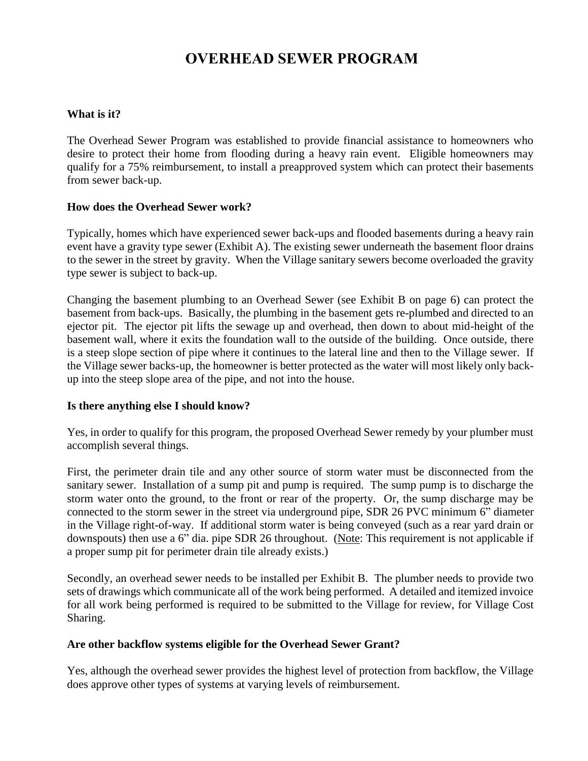## **OVERHEAD SEWER PROGRAM**

#### <span id="page-2-0"></span>**What is it?**

The Overhead Sewer Program was established to provide financial assistance to homeowners who desire to protect their home from flooding during a heavy rain event. Eligible homeowners may qualify for a 75% reimbursement, to install a preapproved system which can protect their basements from sewer back-up.

#### **How does the Overhead Sewer work?**

Typically, homes which have experienced sewer back-ups and flooded basements during a heavy rain event have a gravity type sewer (Exhibit A). The existing sewer underneath the basement floor drains to the sewer in the street by gravity. When the Village sanitary sewers become overloaded the gravity type sewer is subject to back-up.

Changing the basement plumbing to an Overhead Sewer (see Exhibit B on page 6) can protect the basement from back-ups. Basically, the plumbing in the basement gets re-plumbed and directed to an ejector pit. The ejector pit lifts the sewage up and overhead, then down to about mid-height of the basement wall, where it exits the foundation wall to the outside of the building. Once outside, there is a steep slope section of pipe where it continues to the lateral line and then to the Village sewer. If the Village sewer backs-up, the homeowner is better protected as the water will most likely only backup into the steep slope area of the pipe, and not into the house.

#### **Is there anything else I should know?**

Yes, in order to qualify for this program, the proposed Overhead Sewer remedy by your plumber must accomplish several things.

First, the perimeter drain tile and any other source of storm water must be disconnected from the sanitary sewer. Installation of a sump pit and pump is required. The sump pump is to discharge the storm water onto the ground, to the front or rear of the property. Or, the sump discharge may be connected to the storm sewer in the street via underground pipe, SDR 26 PVC minimum 6" diameter in the Village right-of-way. If additional storm water is being conveyed (such as a rear yard drain or downspouts) then use a 6" dia. pipe SDR 26 throughout. (Note: This requirement is not applicable if a proper sump pit for perimeter drain tile already exists.)

Secondly, an overhead sewer needs to be installed per Exhibit B. The plumber needs to provide two sets of drawings which communicate all of the work being performed. A detailed and itemized invoice for all work being performed is required to be submitted to the Village for review, for Village Cost Sharing.

#### **Are other backflow systems eligible for the Overhead Sewer Grant?**

Yes, although the overhead sewer provides the highest level of protection from backflow, the Village does approve other types of systems at varying levels of reimbursement.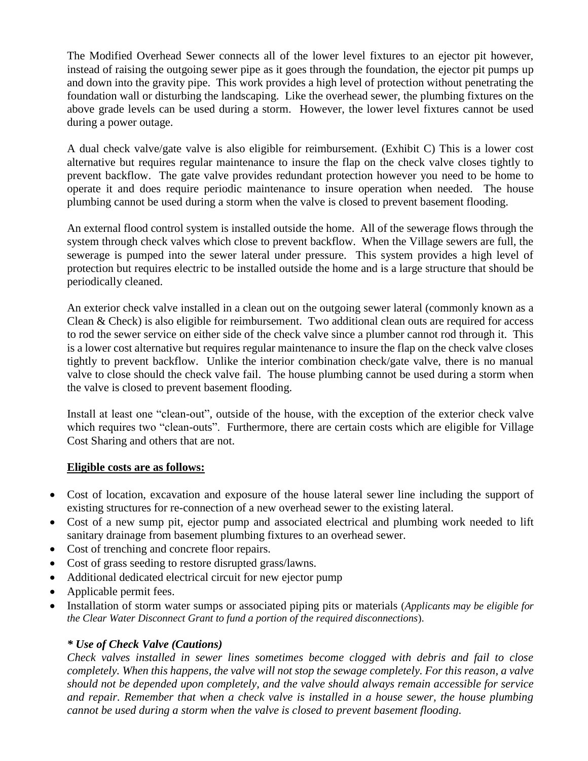The Modified Overhead Sewer connects all of the lower level fixtures to an ejector pit however, instead of raising the outgoing sewer pipe as it goes through the foundation, the ejector pit pumps up and down into the gravity pipe. This work provides a high level of protection without penetrating the foundation wall or disturbing the landscaping. Like the overhead sewer, the plumbing fixtures on the above grade levels can be used during a storm. However, the lower level fixtures cannot be used during a power outage.

A dual check valve/gate valve is also eligible for reimbursement. (Exhibit C) This is a lower cost alternative but requires regular maintenance to insure the flap on the check valve closes tightly to prevent backflow. The gate valve provides redundant protection however you need to be home to operate it and does require periodic maintenance to insure operation when needed. The house plumbing cannot be used during a storm when the valve is closed to prevent basement flooding.

An external flood control system is installed outside the home. All of the sewerage flows through the system through check valves which close to prevent backflow. When the Village sewers are full, the sewerage is pumped into the sewer lateral under pressure. This system provides a high level of protection but requires electric to be installed outside the home and is a large structure that should be periodically cleaned.

An exterior check valve installed in a clean out on the outgoing sewer lateral (commonly known as a Clean & Check) is also eligible for reimbursement. Two additional clean outs are required for access to rod the sewer service on either side of the check valve since a plumber cannot rod through it. This is a lower cost alternative but requires regular maintenance to insure the flap on the check valve closes tightly to prevent backflow. Unlike the interior combination check/gate valve, there is no manual valve to close should the check valve fail. The house plumbing cannot be used during a storm when the valve is closed to prevent basement flooding.

Install at least one "clean-out", outside of the house, with the exception of the exterior check valve which requires two "clean-outs". Furthermore, there are certain costs which are eligible for Village Cost Sharing and others that are not.

#### **Eligible costs are as follows:**

- Cost of location, excavation and exposure of the house lateral sewer line including the support of existing structures for re-connection of a new overhead sewer to the existing lateral.
- Cost of a new sump pit, ejector pump and associated electrical and plumbing work needed to lift sanitary drainage from basement plumbing fixtures to an overhead sewer.
- Cost of trenching and concrete floor repairs.
- Cost of grass seeding to restore disrupted grass/lawns.
- Additional dedicated electrical circuit for new ejector pump
- Applicable permit fees.
- Installation of storm water sumps or associated piping pits or materials (*Applicants may be eligible for the Clear Water Disconnect Grant to fund a portion of the required disconnections*).

#### *\* Use of Check Valve (Cautions)*

*Check valves installed in sewer lines sometimes become clogged with debris and fail to close completely. When this happens, the valve will not stop the sewage completely. For this reason, a valve should not be depended upon completely, and the valve should always remain accessible for service and repair. Remember that when a check valve is installed in a house sewer, the house plumbing cannot be used during a storm when the valve is closed to prevent basement flooding.*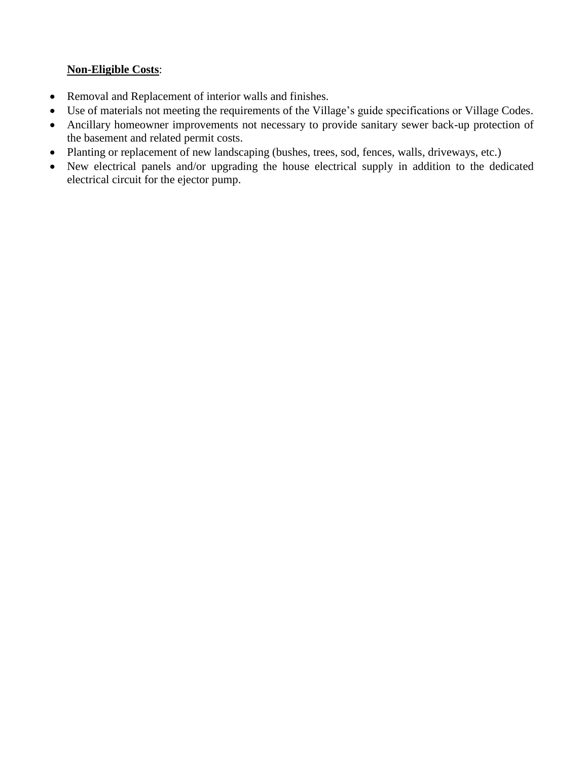#### **Non-Eligible Costs**:

- Removal and Replacement of interior walls and finishes.
- Use of materials not meeting the requirements of the Village's guide specifications or Village Codes.
- Ancillary homeowner improvements not necessary to provide sanitary sewer back-up protection of the basement and related permit costs.
- Planting or replacement of new landscaping (bushes, trees, sod, fences, walls, driveways, etc.)
- New electrical panels and/or upgrading the house electrical supply in addition to the dedicated electrical circuit for the ejector pump.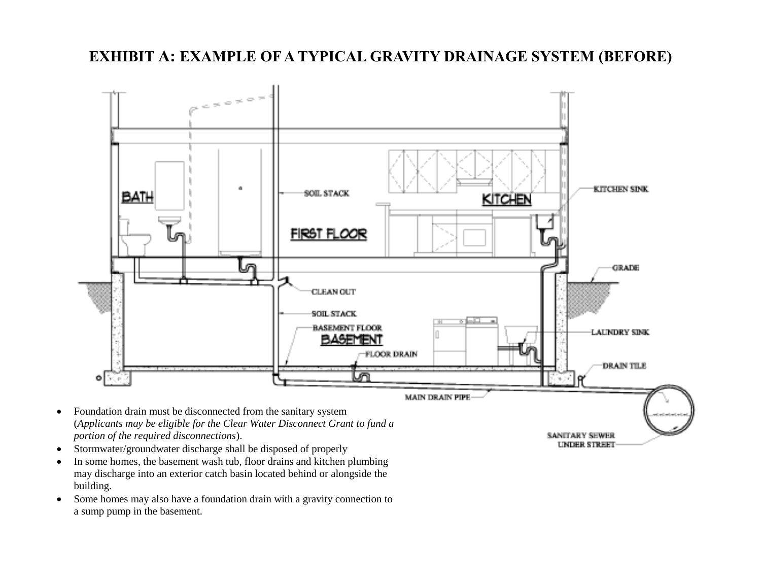## **EXHIBIT A: EXAMPLE OF A TYPICAL GRAVITY DRAINAGE SYSTEM (BEFORE)**

<span id="page-5-0"></span>

SANITARY SEWER *UNDER STREET* 

- (*Applicants may be eligible for the Clear Water Disconnect Grant to fund a portion of the required disconnections*).
- Stormwater/groundwater discharge shall be disposed of properly
- In some homes, the basement wash tub, floor drains and kitchen plumbing may discharge into an exterior catch basin located behind or alongside the building.
- Some homes may also have a foundation drain with a gravity connection to a sump pump in the basement.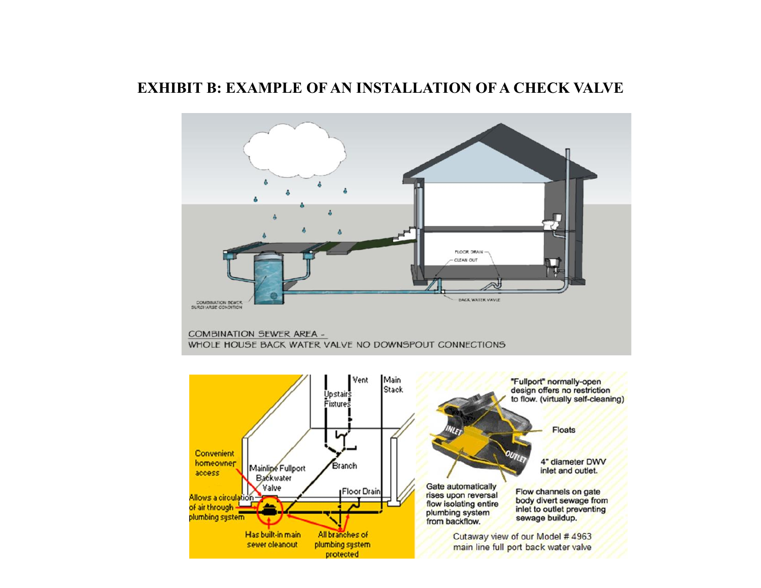#### <span id="page-6-0"></span>**EXHIBIT B: EXAMPLE OF AN INSTALLATION OF A CHECK VALVE**

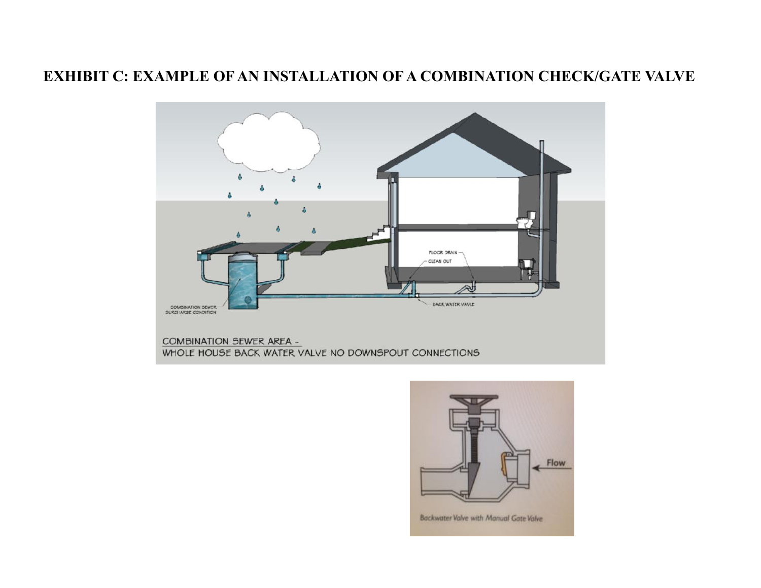### <span id="page-7-0"></span>**EXHIBIT C: EXAMPLE OF AN INSTALLATION OF A COMBINATION CHECK/GATE VALVE**



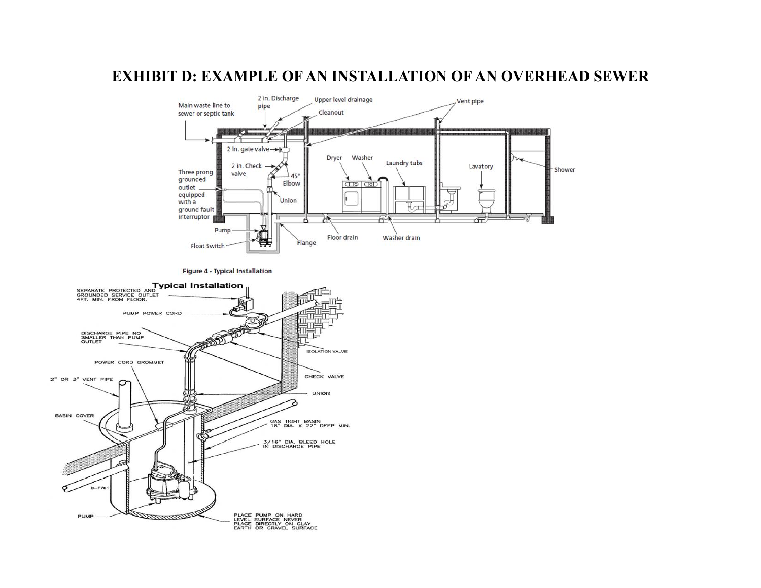#### **EXHIBIT D: EXAMPLE OF AN INSTALLATION OF AN OVERHEAD SEWER**

<span id="page-8-0"></span>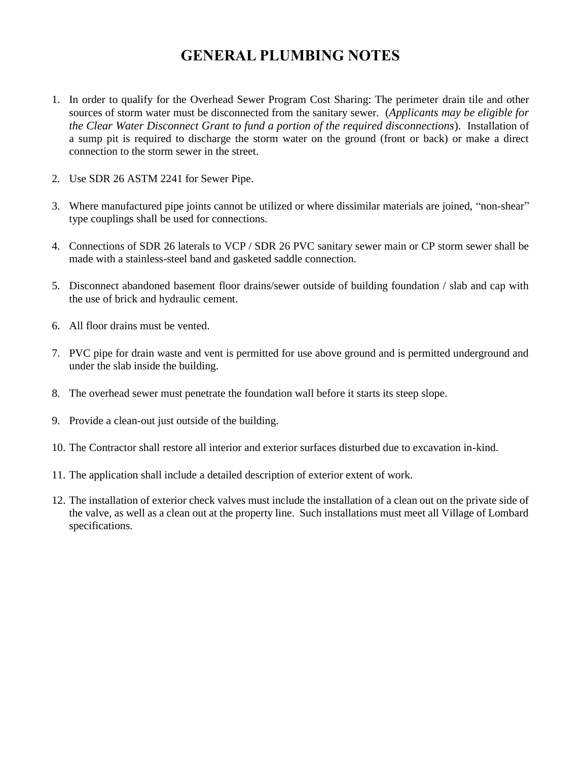### **GENERAL PLUMBING NOTES**

- <span id="page-9-0"></span>1. In order to qualify for the Overhead Sewer Program Cost Sharing: The perimeter drain tile and other sources of storm water must be disconnected from the sanitary sewer. (*Applicants may be eligible for the Clear Water Disconnect Grant to fund a portion of the required disconnections*). Installation of a sump pit is required to discharge the storm water on the ground (front or back) or make a direct connection to the storm sewer in the street.
- 2. Use SDR 26 ASTM 2241 for Sewer Pipe.
- 3. Where manufactured pipe joints cannot be utilized or where dissimilar materials are joined, "non-shear" type couplings shall be used for connections.
- 4. Connections of SDR 26 laterals to VCP / SDR 26 PVC sanitary sewer main or CP storm sewer shall be made with a stainless-steel band and gasketed saddle connection.
- 5. Disconnect abandoned basement floor drains/sewer outside of building foundation / slab and cap with the use of brick and hydraulic cement.
- 6. All floor drains must be vented.
- 7. PVC pipe for drain waste and vent is permitted for use above ground and is permitted underground and under the slab inside the building.
- 8. The overhead sewer must penetrate the foundation wall before it starts its steep slope.
- 9. Provide a clean-out just outside of the building.
- 10. The Contractor shall restore all interior and exterior surfaces disturbed due to excavation in-kind.
- 11. The application shall include a detailed description of exterior extent of work.
- 12. The installation of exterior check valves must include the installation of a clean out on the private side of the valve, as well as a clean out at the property line. Such installations must meet all Village of Lombard specifications.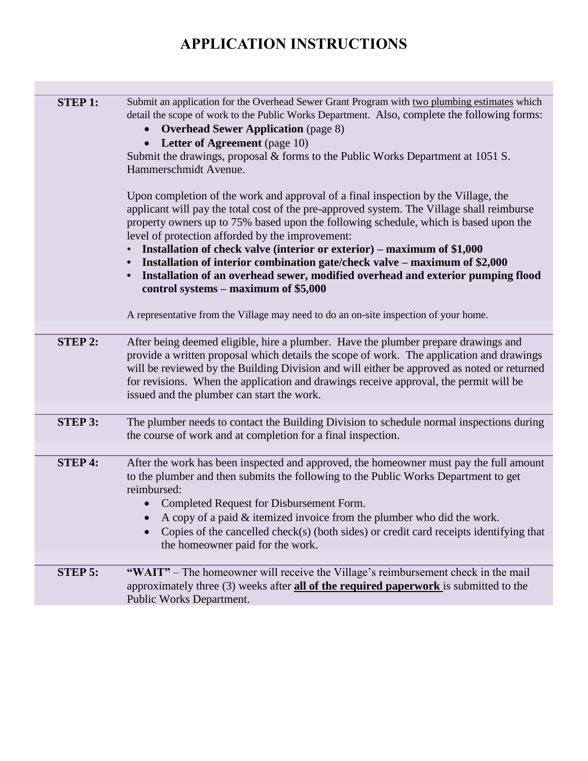## **APPLICATION INSTRUCTIONS**

<span id="page-10-1"></span><span id="page-10-0"></span>

| <b>STEP 1:</b> | Submit an application for the Overhead Sewer Grant Program with two plumbing estimates which<br>detail the scope of work to the Public Works Department. Also, complete the following forms:<br><b>Overhead Sewer Application</b> (page 8)<br>$\bullet$<br><b>Letter of Agreement</b> (page 10)<br>Submit the drawings, proposal & forms to the Public Works Department at 1051 S.<br>Hammerschmidt Avenue.<br>Upon completion of the work and approval of a final inspection by the Village, the<br>applicant will pay the total cost of the pre-approved system. The Village shall reimburse<br>property owners up to 75% based upon the following schedule, which is based upon the<br>level of protection afforded by the improvement:<br>Installation of check valve (interior or exterior) – maximum of \$1,000<br>Installation of interior combination gate/check valve – maximum of \$2,000<br>Installation of an overhead sewer, modified overhead and exterior pumping flood<br>$\bullet$<br>control systems - maximum of \$5,000<br>A representative from the Village may need to do an on-site inspection of your home. |
|----------------|-------------------------------------------------------------------------------------------------------------------------------------------------------------------------------------------------------------------------------------------------------------------------------------------------------------------------------------------------------------------------------------------------------------------------------------------------------------------------------------------------------------------------------------------------------------------------------------------------------------------------------------------------------------------------------------------------------------------------------------------------------------------------------------------------------------------------------------------------------------------------------------------------------------------------------------------------------------------------------------------------------------------------------------------------------------------------------------------------------------------------------------|
|                |                                                                                                                                                                                                                                                                                                                                                                                                                                                                                                                                                                                                                                                                                                                                                                                                                                                                                                                                                                                                                                                                                                                                     |
| <b>STEP 2:</b> | After being deemed eligible, hire a plumber. Have the plumber prepare drawings and<br>provide a written proposal which details the scope of work. The application and drawings<br>will be reviewed by the Building Division and will either be approved as noted or returned<br>for revisions. When the application and drawings receive approval, the permit will be<br>issued and the plumber can start the work.                                                                                                                                                                                                                                                                                                                                                                                                                                                                                                                                                                                                                                                                                                                 |
|                |                                                                                                                                                                                                                                                                                                                                                                                                                                                                                                                                                                                                                                                                                                                                                                                                                                                                                                                                                                                                                                                                                                                                     |
| <b>STEP 3:</b> | The plumber needs to contact the Building Division to schedule normal inspections during<br>the course of work and at completion for a final inspection.                                                                                                                                                                                                                                                                                                                                                                                                                                                                                                                                                                                                                                                                                                                                                                                                                                                                                                                                                                            |
|                |                                                                                                                                                                                                                                                                                                                                                                                                                                                                                                                                                                                                                                                                                                                                                                                                                                                                                                                                                                                                                                                                                                                                     |
| <b>STEP 4:</b> | After the work has been inspected and approved, the homeowner must pay the full amount<br>to the plumber and then submits the following to the Public Works Department to get<br>reimbursed:<br>Completed Request for Disbursement Form.<br>$\bullet$<br>A copy of a paid & itemized invoice from the plumber who did the work.<br>Copies of the cancelled check(s) (both sides) or credit card receipts identifying that<br>the homeowner paid for the work.                                                                                                                                                                                                                                                                                                                                                                                                                                                                                                                                                                                                                                                                       |
|                |                                                                                                                                                                                                                                                                                                                                                                                                                                                                                                                                                                                                                                                                                                                                                                                                                                                                                                                                                                                                                                                                                                                                     |
| <b>STEP 5:</b> | "WAIT" – The homeowner will receive the Village's reimbursement check in the mail<br>approximately three $(3)$ weeks after <b>all of the required paperwork</b> is submitted to the<br>Public Works Department.                                                                                                                                                                                                                                                                                                                                                                                                                                                                                                                                                                                                                                                                                                                                                                                                                                                                                                                     |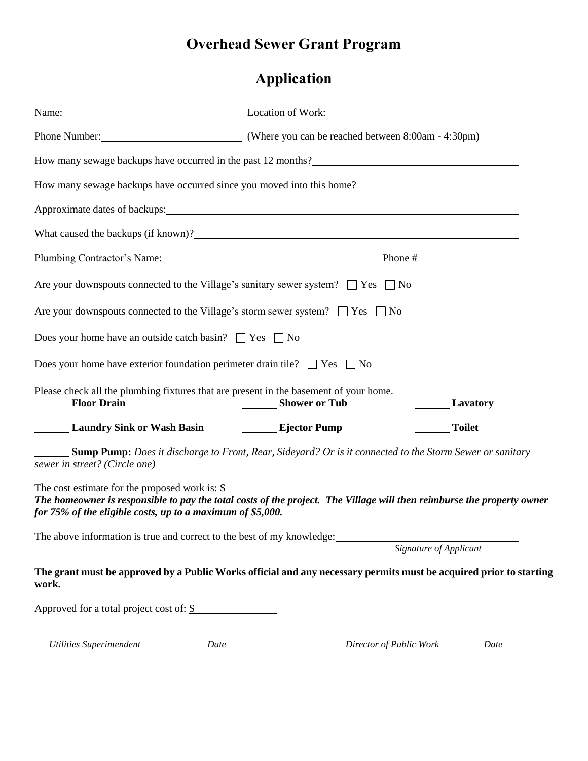## **Overhead Sewer Grant Program**

## **Application**

|                                                                                                                                                                                                                                                   | Name: Location of Work: Location of Work: |                        |  |  |
|---------------------------------------------------------------------------------------------------------------------------------------------------------------------------------------------------------------------------------------------------|-------------------------------------------|------------------------|--|--|
|                                                                                                                                                                                                                                                   |                                           |                        |  |  |
| How many sewage backups have occurred in the past 12 months?                                                                                                                                                                                      |                                           |                        |  |  |
| How many sewage backups have occurred since you moved into this home?<br><u>Letting</u> the many sewage backups have occurred since you moved into this home?                                                                                     |                                           |                        |  |  |
|                                                                                                                                                                                                                                                   |                                           |                        |  |  |
| What caused the backups (if known)?<br><u> What caused</u> the backups (if known)?                                                                                                                                                                |                                           |                        |  |  |
|                                                                                                                                                                                                                                                   |                                           |                        |  |  |
| Are your downspouts connected to the Village's sanitary sewer system? $\Box$ Yes $\Box$ No                                                                                                                                                        |                                           |                        |  |  |
| Are your downspouts connected to the Village's storm sewer system? $\Box$ Yes $\Box$ No                                                                                                                                                           |                                           |                        |  |  |
| Does your home have an outside catch basin? $\Box$ Yes $\Box$ No                                                                                                                                                                                  |                                           |                        |  |  |
| Does your home have exterior foundation perimeter drain tile? $\Box$ Yes $\Box$ No                                                                                                                                                                |                                           |                        |  |  |
| Please check all the plumbing fixtures that are present in the basement of your home.<br>Floor Drain                                                                                                                                              | Shower or Tub                             | <b>Lavatory</b>        |  |  |
| <b>Example 1 Example 2 Example 2 Example 2 Example 2 Example 2 Example 2 Example 2 Example 2 Example 2 Example 2 Example 2 Example 2 Example 2 Example 2 Example 2 Example 2 Example 2 Example 2 Example 2 Example 2 Example 2 E</b>              |                                           | <b>Toilet</b>          |  |  |
| <b>Sump Pump:</b> Does it discharge to Front, Rear, Sideyard? Or is it connected to the Storm Sewer or sanitary<br>sewer in street? (Circle one)                                                                                                  |                                           |                        |  |  |
| The cost estimate for the proposed work is: $\frac{1}{2}$<br>The homeowner is responsible to pay the total costs of the project. The Village will then reimburse the property owner<br>for 75% of the eligible costs, up to a maximum of \$5,000. |                                           |                        |  |  |
| The above information is true and correct to the best of my knowledge:                                                                                                                                                                            |                                           | Signature of Applicant |  |  |
|                                                                                                                                                                                                                                                   |                                           |                        |  |  |
| The grant must be approved by a Public Works official and any necessary permits must be acquired prior to starting<br>work.                                                                                                                       |                                           |                        |  |  |
| Approved for a total project cost of: $\frac{\S}{}$                                                                                                                                                                                               |                                           |                        |  |  |
|                                                                                                                                                                                                                                                   |                                           |                        |  |  |

<span id="page-11-0"></span>

 *Utilities Superintendent Date Director of Public Work Date*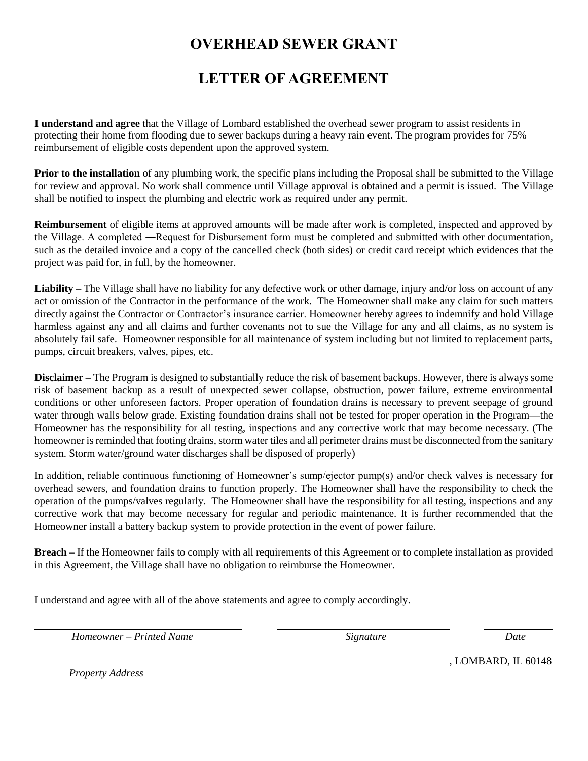## **OVERHEAD SEWER GRANT**

## **LETTER OF AGREEMENT**

**I understand and agree** that the Village of Lombard established the overhead sewer program to assist residents in protecting their home from flooding due to sewer backups during a heavy rain event. The program provides for 75% reimbursement of eligible costs dependent upon the approved system.

Prior to the installation of any plumbing work, the specific plans including the Proposal shall be submitted to the Village for review and approval. No work shall commence until Village approval is obtained and a permit is issued. The Village shall be notified to inspect the plumbing and electric work as required under any permit.

**Reimbursement** of eligible items at approved amounts will be made after work is completed, inspected and approved by the Village. A completed ―Request for Disbursement form must be completed and submitted with other documentation, such as the detailed invoice and a copy of the cancelled check (both sides) or credit card receipt which evidences that the project was paid for, in full, by the homeowner.

**Liability –** The Village shall have no liability for any defective work or other damage, injury and/or loss on account of any act or omission of the Contractor in the performance of the work. The Homeowner shall make any claim for such matters directly against the Contractor or Contractor's insurance carrier. Homeowner hereby agrees to indemnify and hold Village harmless against any and all claims and further covenants not to sue the Village for any and all claims, as no system is absolutely fail safe. Homeowner responsible for all maintenance of system including but not limited to replacement parts, pumps, circuit breakers, valves, pipes, etc.

**Disclaimer –** The Program is designed to substantially reduce the risk of basement backups. However, there is always some risk of basement backup as a result of unexpected sewer collapse, obstruction, power failure, extreme environmental conditions or other unforeseen factors. Proper operation of foundation drains is necessary to prevent seepage of ground water through walls below grade. Existing foundation drains shall not be tested for proper operation in the Program—the Homeowner has the responsibility for all testing, inspections and any corrective work that may become necessary. (The homeowner is reminded that footing drains, storm water tiles and all perimeter drains must be disconnected from the sanitary system. Storm water/ground water discharges shall be disposed of properly)

In addition, reliable continuous functioning of Homeowner's sump/ejector pump(s) and/or check valves is necessary for overhead sewers, and foundation drains to function properly. The Homeowner shall have the responsibility to check the operation of the pumps/valves regularly. The Homeowner shall have the responsibility for all testing, inspections and any corrective work that may become necessary for regular and periodic maintenance. It is further recommended that the Homeowner install a battery backup system to provide protection in the event of power failure.

**Breach –** If the Homeowner fails to comply with all requirements of this Agreement or to complete installation as provided in this Agreement, the Village shall have no obligation to reimburse the Homeowner.

I understand and agree with all of the above statements and agree to comply accordingly.

*Homeowner – Printed Name* Signature Signature Date

*Property Address* 

, LOMBARD, IL 60148